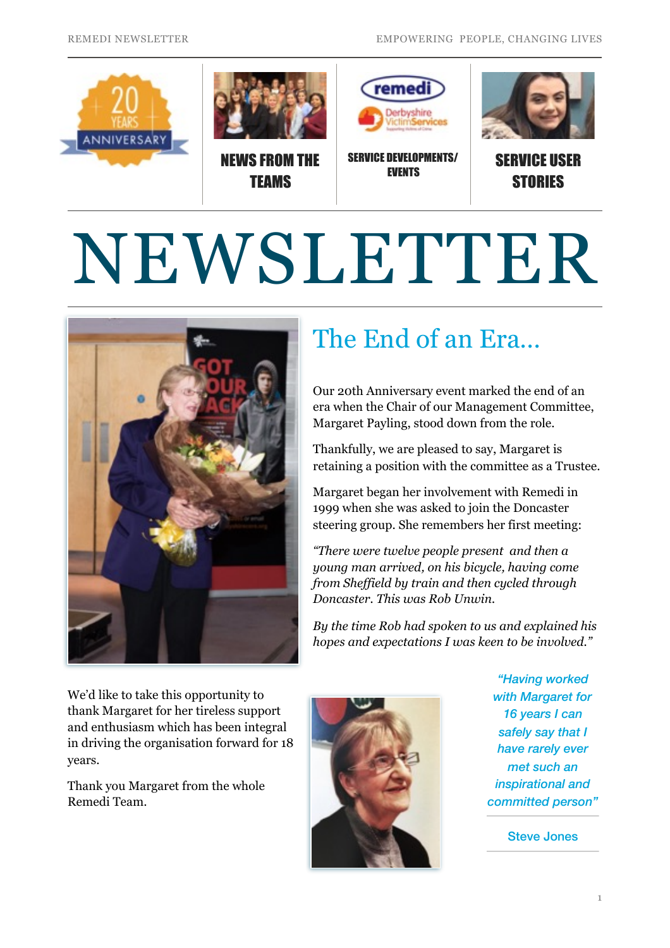

# NEWSLETTER



# The End of an Era…

Our 20th Anniversary event marked the end of an era when the Chair of our Management Committee, Margaret Payling, stood down from the role.

Thankfully, we are pleased to say, Margaret is retaining a position with the committee as a Trustee.

Margaret began her involvement with Remedi in 1999 when she was asked to join the Doncaster steering group. She remembers her first meeting:

*"There were twelve people present and then a young man arrived, on his bicycle, having come from Sheffield by train and then cycled through Doncaster. This was Rob Unwin.* 

*By the time Rob had spoken to us and explained his hopes and expectations I was keen to be involved."* 

We'd like to take this opportunity to thank Margaret for her tireless support and enthusiasm which has been integral in driving the organisation forward for 18 years.

Thank you Margaret from the whole Remedi Team.



*"Having worked with Margaret for 16 years I can safely say that I have rarely ever met such an inspirational and committed person"* 

Steve Jones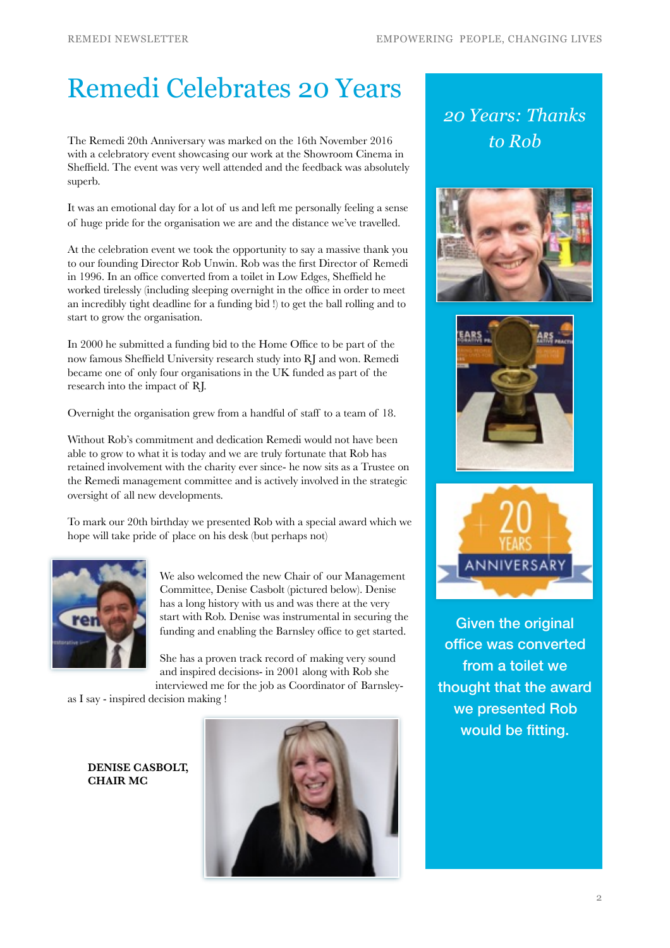#### Remedi Celebrates 20 Years

The Remedi 20th Anniversary was marked on the 16th November 2016 with a celebratory event showcasing our work at the Showroom Cinema in Sheffield. The event was very well attended and the feedback was absolutely superb.

It was an emotional day for a lot of us and left me personally feeling a sense of huge pride for the organisation we are and the distance we've travelled.

At the celebration event we took the opportunity to say a massive thank you to our founding Director Rob Unwin. Rob was the first Director of Remedi in 1996. In an office converted from a toilet in Low Edges, Sheffield he worked tirelessly (including sleeping overnight in the office in order to meet an incredibly tight deadline for a funding bid !) to get the ball rolling and to start to grow the organisation.

In 2000 he submitted a funding bid to the Home Office to be part of the now famous Sheffield University research study into RJ and won. Remedi became one of only four organisations in the UK funded as part of the research into the impact of RJ.

Overnight the organisation grew from a handful of staff to a team of 18.

Without Rob's commitment and dedication Remedi would not have been able to grow to what it is today and we are truly fortunate that Rob has retained involvement with the charity ever since- he now sits as a Trustee on the Remedi management committee and is actively involved in the strategic oversight of all new developments.

To mark our 20th birthday we presented Rob with a special award which we hope will take pride of place on his desk (but perhaps not)



We also welcomed the new Chair of our Management Committee, Denise Casbolt (pictured below). Denise has a long history with us and was there at the very start with Rob. Denise was instrumental in securing the funding and enabling the Barnsley office to get started.

She has a proven track record of making very sound and inspired decisions- in 2001 along with Rob she interviewed me for the job as Coordinator of Barnsley-

as I say - inspired decision making !

**DENISE CASBOLT, CHAIR MC**



*20 Years: Thanks to Rob*







Given the original office was converted from a toilet we thought that the award we presented Rob would be fitting.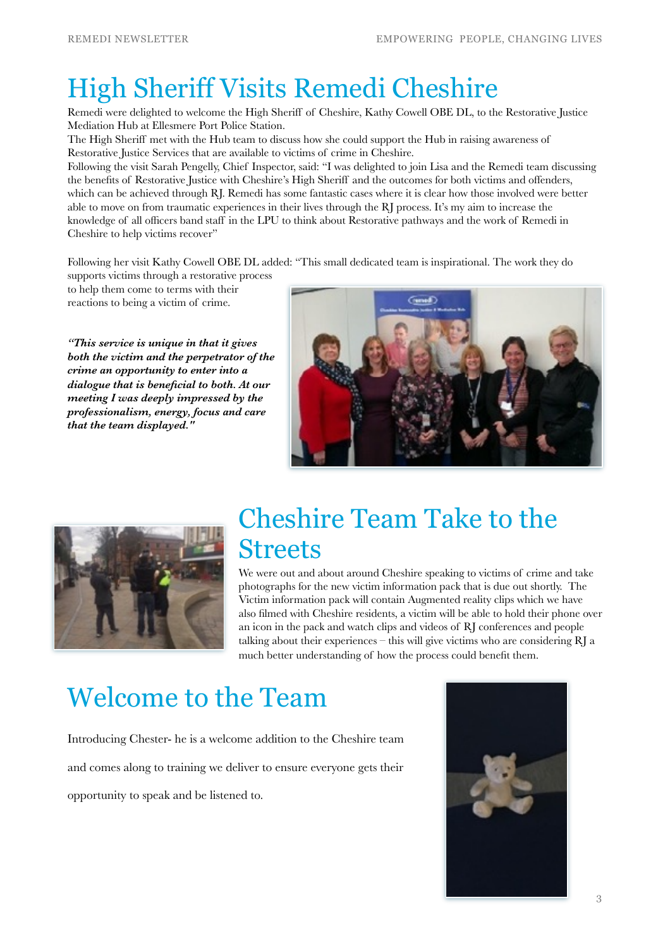# High Sheriff Visits Remedi Cheshire

Remedi were delighted to welcome the High Sheriff of Cheshire, Kathy Cowell OBE DL, to the Restorative Justice Mediation Hub at Ellesmere Port Police Station.

The High Sheriff met with the Hub team to discuss how she could support the Hub in raising awareness of Restorative Justice Services that are available to victims of crime in Cheshire.

Following the visit Sarah Pengelly, Chief Inspector, said: "I was delighted to join Lisa and the Remedi team discussing the benefits of Restorative Justice with Cheshire's High Sheriff and the outcomes for both victims and offenders, which can be achieved through RJ. Remedi has some fantastic cases where it is clear how those involved were better able to move on from traumatic experiences in their lives through the RJ process. It's my aim to increase the knowledge of all officers band staff in the LPU to think about Restorative pathways and the work of Remedi in Cheshire to help victims recover"

Following her visit Kathy Cowell OBE DL added: "This small dedicated team is inspirational. The work they do

supports victims through a restorative process to help them come to terms with their reactions to being a victim of crime.

*"This service is unique in that it gives both the victim and the perpetrator of the crime an opportunity to enter into a dialogue that is beneficial to both. At our meeting I was deeply impressed by the professionalism, energy, focus and care that the team displayed."* 





### Cheshire Team Take to the **Streets**

We were out and about around Cheshire speaking to victims of crime and take photographs for the new victim information pack that is due out shortly. The Victim information pack will contain Augmented reality clips which we have also filmed with Cheshire residents, a victim will be able to hold their phone over an icon in the pack and watch clips and videos of RJ conferences and people talking about their experiences – this will give victims who are considering RJ a much better understanding of how the process could benefit them.

# Welcome to the Team

Introducing Chester- he is a welcome addition to the Cheshire team and comes along to training we deliver to ensure everyone gets their opportunity to speak and be listened to.

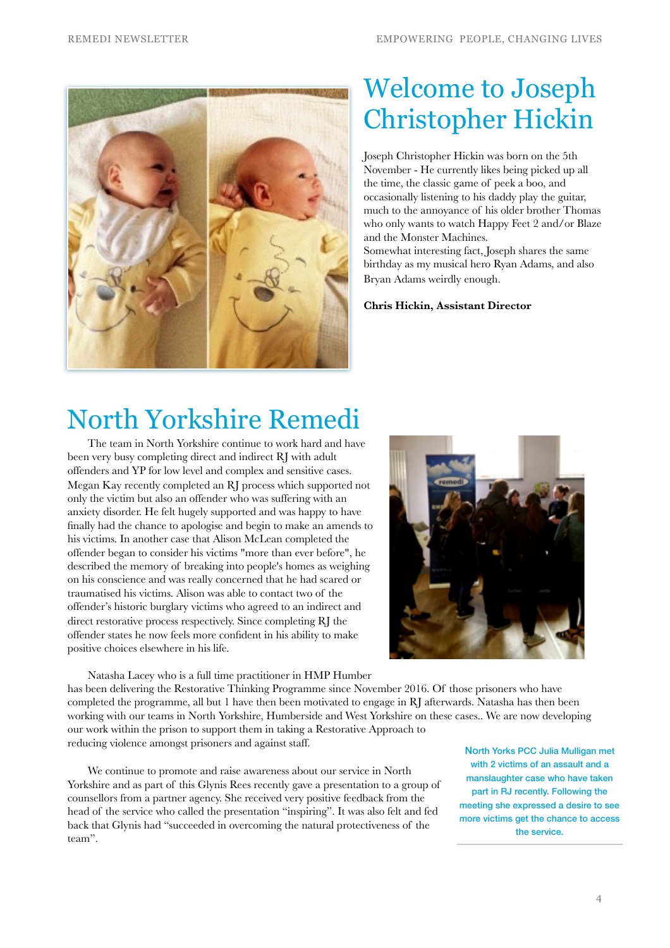

### Welcome to Joseph Christopher Hickin

Joseph Christopher Hickin was born on the 5th November - He currently likes being picked up all the time, the classic game of peek a boo, and occasionally listening to his daddy play the guitar, much to the annoyance of his older brother Thomas who only wants to watch Happy Feet 2 and/or Blaze and the Monster Machines.

Somewhat interesting fact, Joseph shares the same birthday as my musical hero Ryan Adams, and also Bryan Adams weirdly enough.

**Chris Hickin, Assistant Director**

#### North Yorkshire Remedi

The team in North Yorkshire continue to work hard and have been very busy completing direct and indirect RJ with adult offenders and YP for low level and complex and sensitive cases. Megan Kay recently completed an RJ process which supported not only the victim but also an offender who was suffering with an anxiety disorder. He felt hugely supported and was happy to have finally had the chance to apologise and begin to make an amends to his victims. In another case that Alison McLean completed the offender began to consider his victims "more than ever before", he described the memory of breaking into people's homes as weighing on his conscience and was really concerned that he had scared or traumatised his victims. Alison was able to contact two of the offender's historic burglary victims who agreed to an indirect and direct restorative process respectively. Since completing RJ the offender states he now feels more confident in his ability to make positive choices elsewhere in his life.



Natasha Lacey who is a full time practitioner in HMP Humber has been delivering the Restorative Thinking Programme since November 2016. Of those prisoners who have completed the programme, all but 1 have then been motivated to engage in RJ afterwards. Natasha has then been working with our teams in North Yorkshire, Humberside and West Yorkshire on these cases.. We are now developing our work within the prison to support them in taking a Restorative Approach to reducing violence amongst prisoners and against staff.

We continue to promote and raise awareness about our service in North Yorkshire and as part of this Glynis Rees recently gave a presentation to a group of counsellors from a partner agency. She received very positive feedback from the head of the service who called the presentation "inspiring". It was also felt and fed back that Glynis had "succeeded in overcoming the natural protectiveness of the team".

North Yorks PCC Julia Mulligan met with 2 victims of an assault and a manslaughter case who have taken part in RJ recently. Following the meeting she expressed a desire to see more victims get the chance to access the service.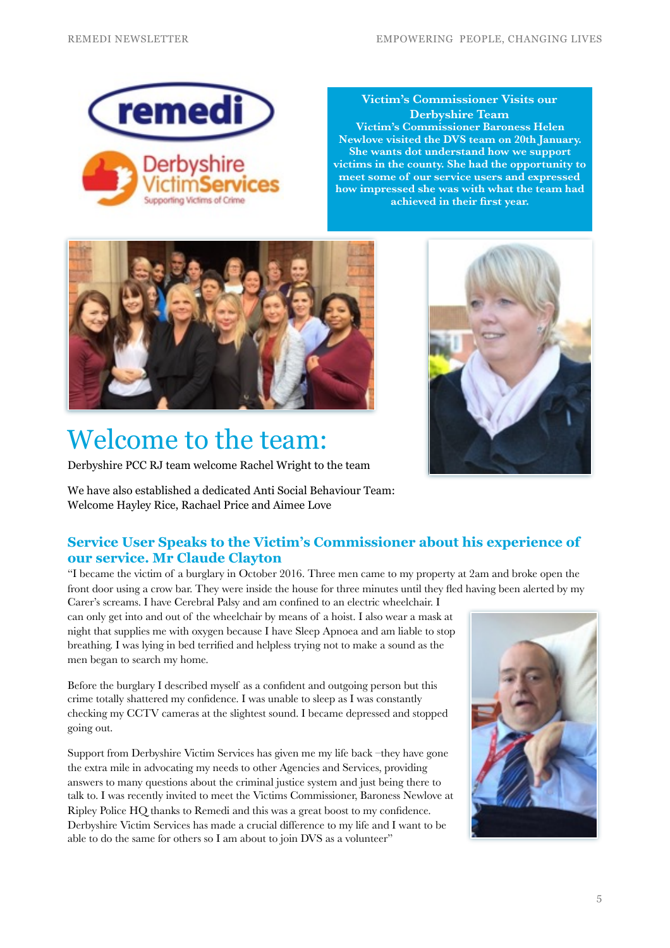

**Victim's Commissioner Visits our Derbyshire Team Victim's Commissioner Baroness Helen Newlove visited the DVS team on 20th January. She wants dot understand how we support victims in the county. She had the opportunity to meet some of our service users and expressed how impressed she was with what the team had achieved in their first year.**



# Welcome to the team:

Derbyshire PCC RJ team welcome Rachel Wright to the team

We have also established a dedicated Anti Social Behaviour Team: Welcome Hayley Rice, Rachael Price and Aimee Love

#### **Service User Speaks to the Victim's Commissioner about his experience of our service. Mr Claude Clayton**

"I became the victim of a burglary in October 2016. Three men came to my property at 2am and broke open the front door using a crow bar. They were inside the house for three minutes until they fled having been alerted by my Carer's screams. I have Cerebral Palsy and am confined to an electric wheelchair. I

can only get into and out of the wheelchair by means of a hoist. I also wear a mask at night that supplies me with oxygen because I have Sleep Apnoea and am liable to stop breathing. I was lying in bed terrified and helpless trying not to make a sound as the men began to search my home.

Before the burglary I described myself as a confident and outgoing person but this crime totally shattered my confidence. I was unable to sleep as I was constantly checking my CCTV cameras at the slightest sound. I became depressed and stopped going out.

Support from Derbyshire Victim Services has given me my life back –they have gone the extra mile in advocating my needs to other Agencies and Services, providing answers to many questions about the criminal justice system and just being there to talk to. I was recently invited to meet the Victims Commissioner, Baroness Newlove at Ripley Police HQ thanks to Remedi and this was a great boost to my confidence. Derbyshire Victim Services has made a crucial difference to my life and I want to be able to do the same for others so I am about to join DVS as a volunteer"



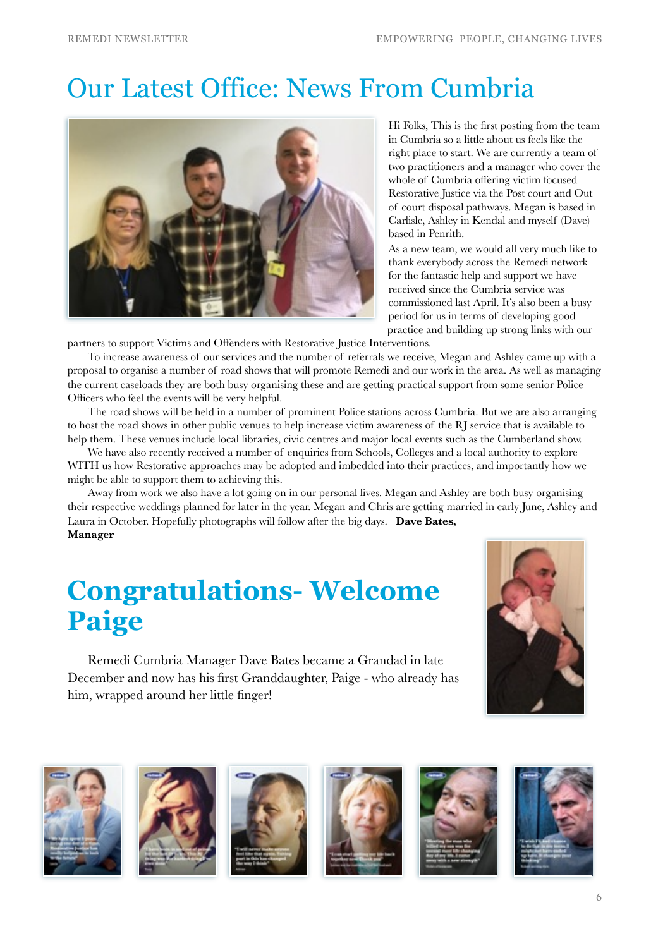#### Our Latest Office: News From Cumbria



Hi Folks, This is the first posting from the team in Cumbria so a little about us feels like the right place to start. We are currently a team of two practitioners and a manager who cover the whole of Cumbria offering victim focused Restorative Justice via the Post court and Out of court disposal pathways. Megan is based in Carlisle, Ashley in Kendal and myself (Dave) based in Penrith.

As a new team, we would all very much like to thank everybody across the Remedi network for the fantastic help and support we have received since the Cumbria service was commissioned last April. It's also been a busy period for us in terms of developing good practice and building up strong links with our

partners to support Victims and Offenders with Restorative Justice Interventions.

To increase awareness of our services and the number of referrals we receive, Megan and Ashley came up with a proposal to organise a number of road shows that will promote Remedi and our work in the area. As well as managing the current caseloads they are both busy organising these and are getting practical support from some senior Police Officers who feel the events will be very helpful.

The road shows will be held in a number of prominent Police stations across Cumbria. But we are also arranging to host the road shows in other public venues to help increase victim awareness of the RJ service that is available to help them. These venues include local libraries, civic centres and major local events such as the Cumberland show.

We have also recently received a number of enquiries from Schools, Colleges and a local authority to explore WITH us how Restorative approaches may be adopted and imbedded into their practices, and importantly how we might be able to support them to achieving this.

Away from work we also have a lot going on in our personal lives. Megan and Ashley are both busy organising their respective weddings planned for later in the year. Megan and Chris are getting married in early June, Ashley and Laura in October. Hopefully photographs will follow after the big days. **Dave Bates, Manager** 

## **Congratulations- Welcome Paige**

Remedi Cumbria Manager Dave Bates became a Grandad in late December and now has his first Granddaughter, Paige - who already has him, wrapped around her little finger!













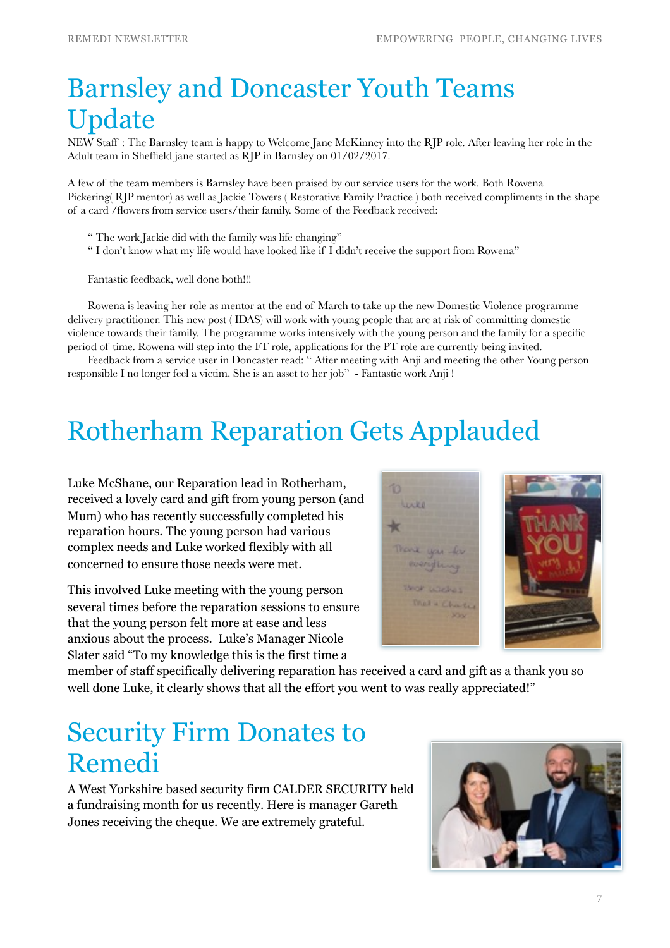# Barnsley and Doncaster Youth Teams Update

NEW Staff : The Barnsley team is happy to Welcome Jane McKinney into the RJP role. After leaving her role in the Adult team in Sheffield jane started as RJP in Barnsley on 01/02/2017.

A few of the team members is Barnsley have been praised by our service users for the work. Both Rowena Pickering( RJP mentor) as well as Jackie Towers ( Restorative Family Practice ) both received compliments in the shape of a card /flowers from service users/their family. Some of the Feedback received:

- " The work Jackie did with the family was life changing"
- " I don't know what my life would have looked like if I didn't receive the support from Rowena"

Fantastic feedback, well done both!!!

Rowena is leaving her role as mentor at the end of March to take up the new Domestic Violence programme delivery practitioner. This new post ( IDAS) will work with young people that are at risk of committing domestic violence towards their family. The programme works intensively with the young person and the family for a specific period of time. Rowena will step into the FT role, applications for the PT role are currently being invited.

Feedback from a service user in Doncaster read: " After meeting with Anji and meeting the other Young person responsible I no longer feel a victim. She is an asset to her job" - Fantastic work Anji !

### Rotherham Reparation Gets Applauded

Luke McShane, our Reparation lead in Rotherham, received a lovely card and gift from young person (and Mum) who has recently successfully completed his reparation hours. The young person had various complex needs and Luke worked flexibly with all concerned to ensure those needs were met.

This involved Luke meeting with the young person several times before the reparation sessions to ensure that the young person felt more at ease and less anxious about the process. Luke's Manager Nicole Slater said "To my knowledge this is the first time a



member of staff specifically delivering reparation has received a card and gift as a thank you so well done Luke, it clearly shows that all the effort you went to was really appreciated!"

#### Security Firm Donates to Remedi

A West Yorkshire based security firm CALDER SECURITY held a fundraising month for us recently. Here is manager Gareth Jones receiving the cheque. We are extremely grateful.

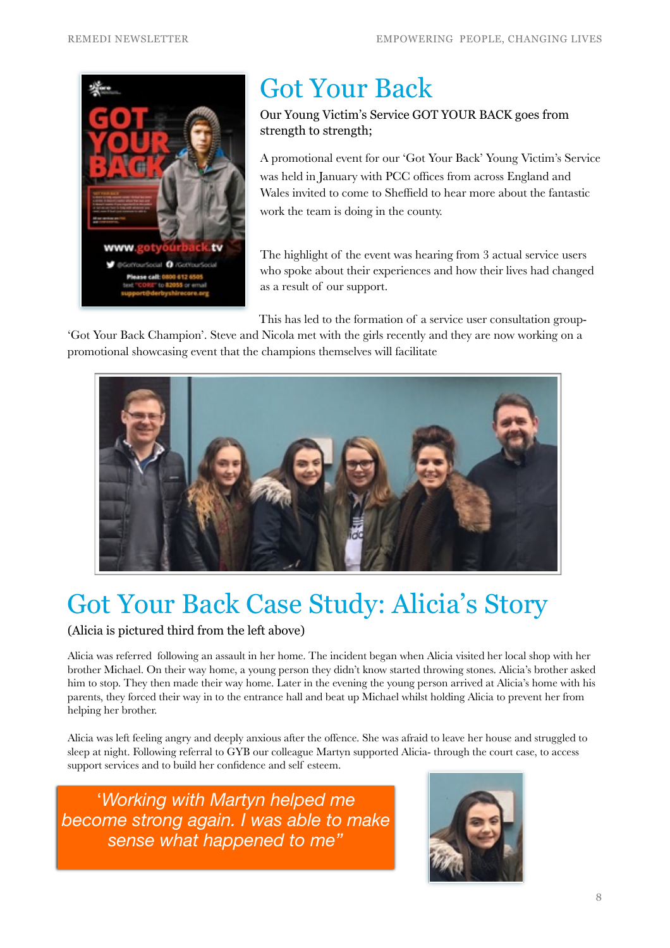

# Got Your Back

Our Young Victim's Service GOT YOUR BACK goes from strength to strength;

A promotional event for our 'Got Your Back' Young Victim's Service was held in January with PCC offices from across England and Wales invited to come to Sheffield to hear more about the fantastic work the team is doing in the county.

The highlight of the event was hearing from 3 actual service users who spoke about their experiences and how their lives had changed as a result of our support.

This has led to the formation of a service user consultation group-

'Got Your Back Champion'. Steve and Nicola met with the girls recently and they are now working on a promotional showcasing event that the champions themselves will facilitate



# Got Your Back Case Study: Alicia's Story

#### (Alicia is pictured third from the left above)

Alicia was referred following an assault in her home. The incident began when Alicia visited her local shop with her brother Michael. On their way home, a young person they didn't know started throwing stones. Alicia's brother asked him to stop. They then made their way home. Later in the evening the young person arrived at Alicia's home with his parents, they forced their way in to the entrance hall and beat up Michael whilst holding Alicia to prevent her from helping her brother.

Alicia was left feeling angry and deeply anxious after the offence. She was afraid to leave her house and struggled to sleep at night. Following referral to GYB our colleague Martyn supported Alicia- through the court case, to access support services and to build her confidence and self esteem.

'*Working with Martyn helped me become strong again. I was able to make sense what happened to me"*